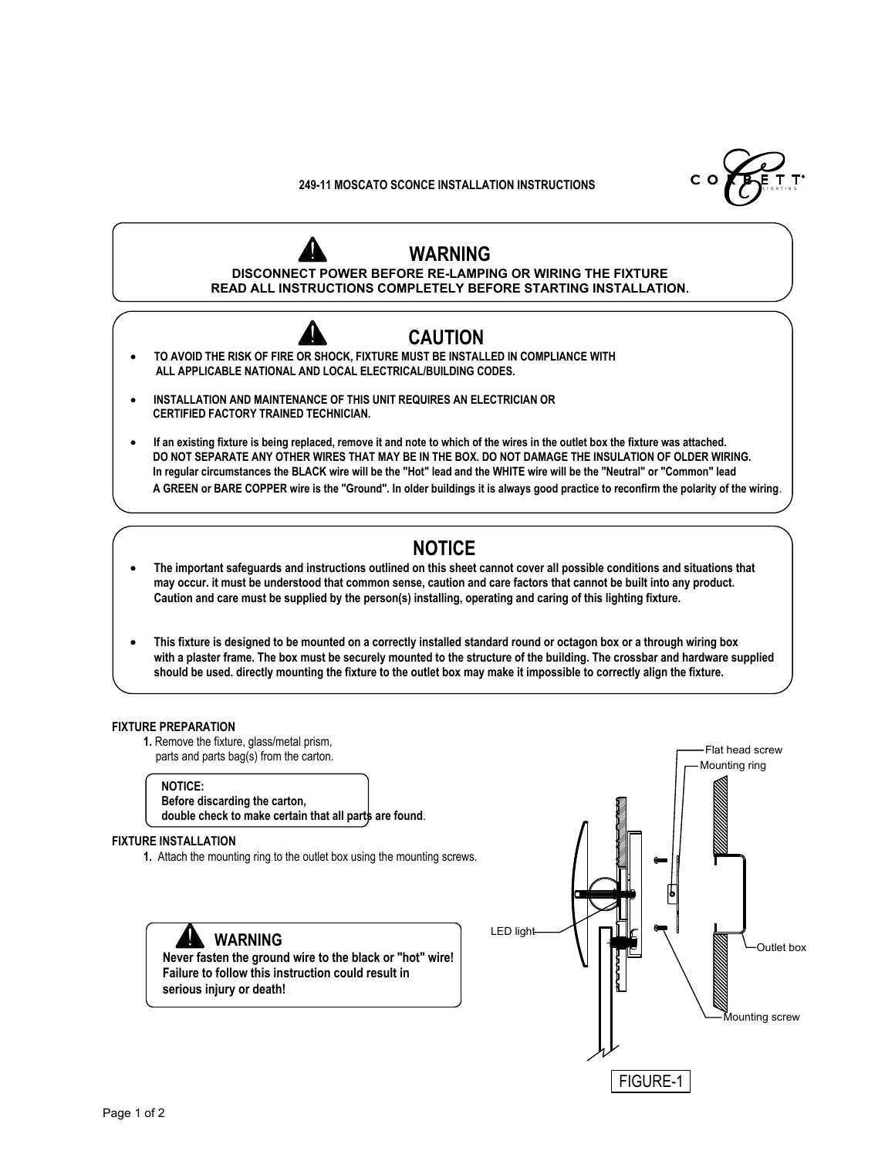L I G H T I N G

## **249-11 MOSCATO SCONCE INSTALLATION INSTRUCTIONS**



- **· INSTALLATION AND MAINTENANCE OF THIS UNIT REQUIRES AN ELECTRICIAN OR CERTIFIED FACTORY TRAINED TECHNICIAN.**
- **· If an existing fixture is being replaced, remove it and note to which of the wires in the outlet box the fixture was attached. DO NOT SEPARATE ANY OTHER WIRES THAT MAY BE IN THE BOX. DO NOT DAMAGE THE INSULATION OF OLDER WIRING. In regular circumstances the BLACK wire will be the "Hot" lead and the WHITE wire will be the "Neutral" or "Common" lead A GREEN or BARE COPPER wire is the "Ground". In older buildings it is always good practice to reconfirm the polarity of the wiring**.

# **NOTICE**

- **· The important safeguards and instructions outlined on this sheet cannot cover all possible conditions and situations that may occur. it must be understood that common sense, caution and care factors that cannot be built into any product. Caution and care must be supplied by the person(s) installing, operating and caring of this lighting fixture.**
- **· This fixture is designed to be mounted on a correctly installed standard round or octagon box or a through wiring box with a plaster frame. The box must be securely mounted to the structure of the building. The crossbar and hardware supplied should be used. directly mounting the fixture to the outlet box may make it impossible to correctly align the fixture.**

#### **FIXTURE PREPARATION**

**1.** Remove the fixture, glass/metal prism, parts and parts bag(s) from the carton.

## **NOTICE:**

 **Before discarding the carton, double check to make certain that all parts are found**.

## **FIXTURE INSTALLATION**

**1.** Attach the mounting ring to the outlet box using the mounting screws.



 **Failure to follow this instruction could result in serious injury or death!**